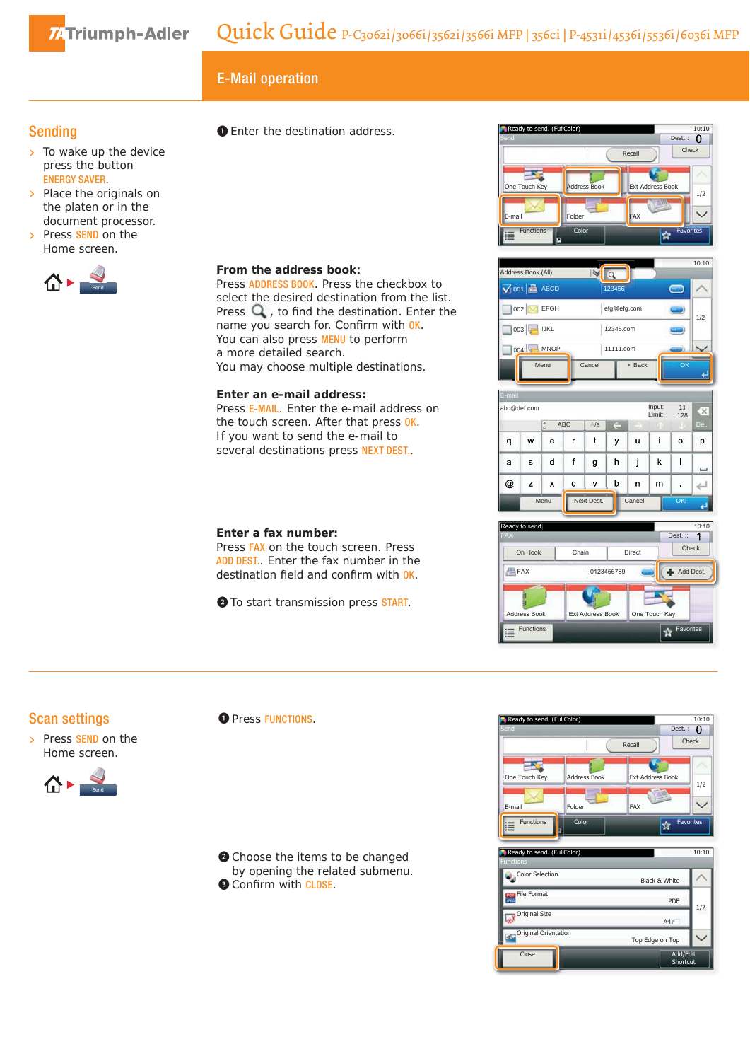74Triumph-Adler

# Ready to send. (FullColor)<br>Ready to send. (FullColor)<br>Experiment the close time time and cross of the Ready to send. (FullColor)

# Sending

- $\overline{\phantom{a}}$  To wake up the device press the button ENERGY SAVER.
- > Place the originals on the platen or in the document processor.
- > Press SEND on the Home screen.



## ❶ Enter the destination address.

### **From the address book:**

Press ADDRESS BOOK. Press the checkbox to select the desired destination from the list. Press  $Q$ , to find the destination. Enter the name you search for. Confirm with OK. You can also press **MENU** to perform a more detailed search. You may choose multiple destinations.

#### **Enter an e-mail address:**

Press E-MAIL. Enter the e-mail address on the touch screen. After that press OK. If you want to send the e-mail to several destinations press NEXT DEST..

#### **Enter a fax number:**

Press FAX on the touch screen. Press ADD DEST.. Enter the fax number in the destination field and confirm with OK.

❷ To start transmission press START.









## Scan settings





**O** Press FUNCTIONS.

❷ Choose the items to be changed by opening the related submenu. **O** Confirm with CLOSE.



| Ready to send. (FullColor)        |                 | 10:10                |  |
|-----------------------------------|-----------------|----------------------|--|
| <b>Functions</b>                  |                 |                      |  |
| Color Selection                   | Black & White   |                      |  |
| <b>File Format</b><br><b>JPEG</b> | PDF             | 1/7                  |  |
| Original Size                     | AAf             |                      |  |
| Original Orientation              | Top Edge on Top |                      |  |
| Close                             |                 | Add/Edit<br>Shortcut |  |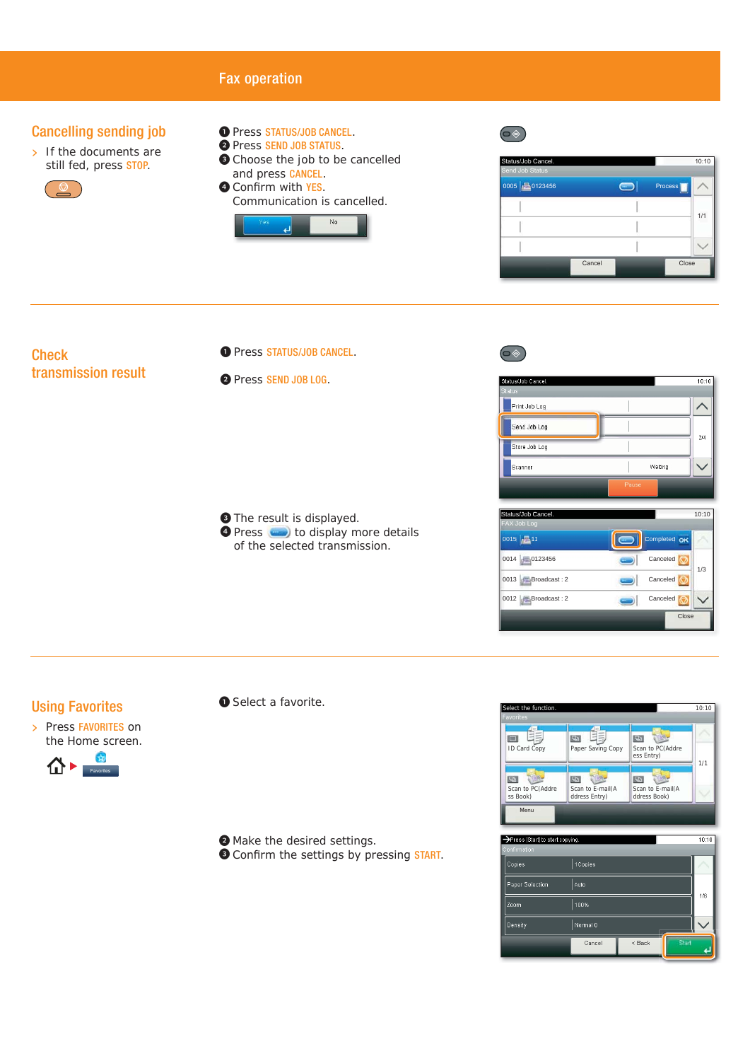

**O** Confirm the settings by pressing START.

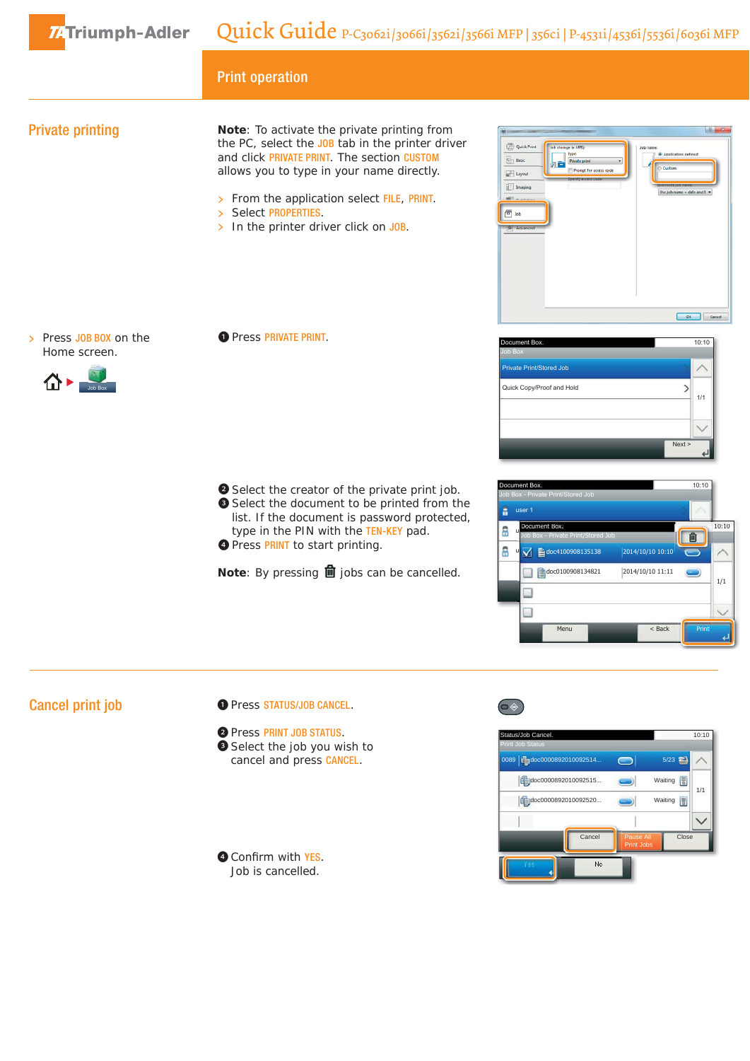